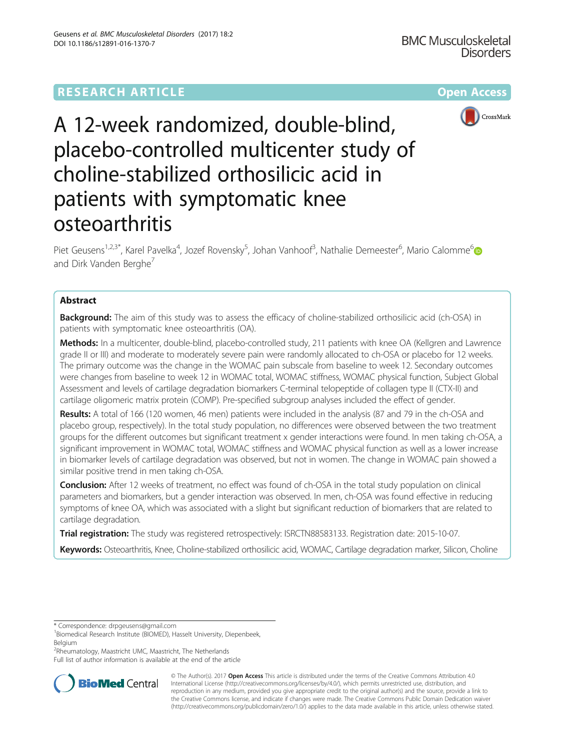

A 12-week randomized, double-blind, placebo-controlled multicenter study of choline-stabilized orthosilicic acid in patients with symptomatic knee osteoarthritis

Piet Geusens<sup>1,2,3\*</sup>, Karel Pavelka<sup>4</sup>, Jozef Rovensky<sup>5</sup>, Johan Vanhoof<sup>3</sup>, Nathalie Demeester<sup>6</sup>, Mario Calomme<sup>6</sup> and Dirk Vanden Berghe<sup>7</sup>

# Abstract

**Background:** The aim of this study was to assess the efficacy of choline-stabilized orthosilicic acid (ch-OSA) in patients with symptomatic knee osteoarthritis (OA).

Methods: In a multicenter, double-blind, placebo-controlled study, 211 patients with knee OA (Kellgren and Lawrence grade II or III) and moderate to moderately severe pain were randomly allocated to ch-OSA or placebo for 12 weeks. The primary outcome was the change in the WOMAC pain subscale from baseline to week 12. Secondary outcomes were changes from baseline to week 12 in WOMAC total, WOMAC stiffness, WOMAC physical function, Subject Global Assessment and levels of cartilage degradation biomarkers C-terminal telopeptide of collagen type II (CTX-II) and cartilage oligomeric matrix protein (COMP). Pre-specified subgroup analyses included the effect of gender.

Results: A total of 166 (120 women, 46 men) patients were included in the analysis (87 and 79 in the ch-OSA and placebo group, respectively). In the total study population, no differences were observed between the two treatment groups for the different outcomes but significant treatment x gender interactions were found. In men taking ch-OSA, a significant improvement in WOMAC total, WOMAC stiffness and WOMAC physical function as well as a lower increase in biomarker levels of cartilage degradation was observed, but not in women. The change in WOMAC pain showed a similar positive trend in men taking ch-OSA.

Conclusion: After 12 weeks of treatment, no effect was found of ch-OSA in the total study population on clinical parameters and biomarkers, but a gender interaction was observed. In men, ch-OSA was found effective in reducing symptoms of knee OA, which was associated with a slight but significant reduction of biomarkers that are related to cartilage degradation.

Trial registration: The study was registered retrospectively: [ISRCTN88583133](http://www.isrctn.com/ISRCTN88583133). Registration date: 2015-10-07.

Keywords: Osteoarthritis, Knee, Choline-stabilized orthosilicic acid, WOMAC, Cartilage degradation marker, Silicon, Choline

\* Correspondence: [drpgeusens@gmail.com](mailto:drpgeusens@gmail.com) <sup>1</sup>

<sup>1</sup>Biomedical Research Institute (BIOMED), Hasselt University, Diepenbeek, Belgium

<sup>2</sup>Rheumatology, Maastricht UMC, Maastricht, The Netherlands

Full list of author information is available at the end of the article



© The Author(s). 2017 **Open Access** This article is distributed under the terms of the Creative Commons Attribution 4.0 International License [\(http://creativecommons.org/licenses/by/4.0/](http://creativecommons.org/licenses/by/4.0/)), which permits unrestricted use, distribution, and reproduction in any medium, provided you give appropriate credit to the original author(s) and the source, provide a link to the Creative Commons license, and indicate if changes were made. The Creative Commons Public Domain Dedication waiver [\(http://creativecommons.org/publicdomain/zero/1.0/](http://creativecommons.org/publicdomain/zero/1.0/)) applies to the data made available in this article, unless otherwise stated.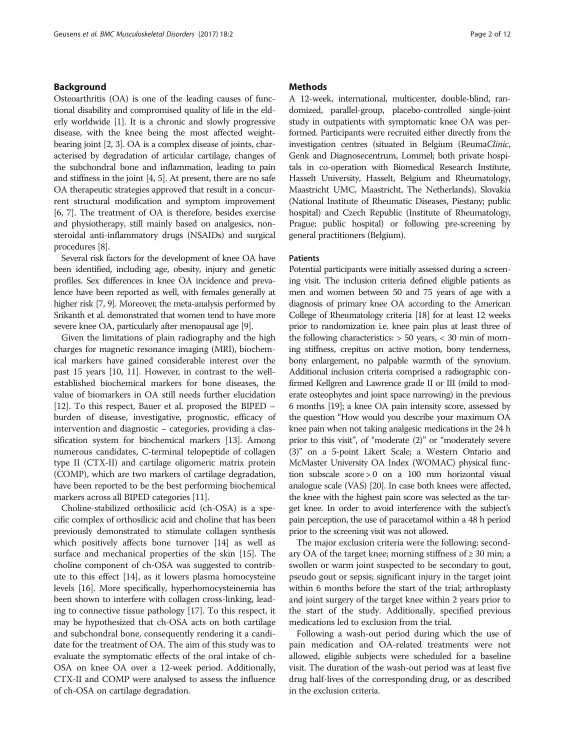# Background

Osteoarthritis (OA) is one of the leading causes of functional disability and compromised quality of life in the elderly worldwide [\[1](#page-10-0)]. It is a chronic and slowly progressive disease, with the knee being the most affected weightbearing joint [\[2](#page-10-0), [3](#page-10-0)]. OA is a complex disease of joints, characterised by degradation of articular cartilage, changes of the subchondral bone and inflammation, leading to pain and stiffness in the joint [\[4, 5](#page-10-0)]. At present, there are no safe OA therapeutic strategies approved that result in a concurrent structural modification and symptom improvement [[6](#page-10-0), [7](#page-10-0)]. The treatment of OA is therefore, besides exercise and physiotherapy, still mainly based on analgesics, nonsteroidal anti-inflammatory drugs (NSAIDs) and surgical procedures [\[8\]](#page-10-0).

Several risk factors for the development of knee OA have been identified, including age, obesity, injury and genetic profiles. Sex differences in knee OA incidence and prevalence have been reported as well, with females generally at higher risk [\[7, 9](#page-10-0)]. Moreover, the meta-analysis performed by Srikanth et al. demonstrated that women tend to have more severe knee OA, particularly after menopausal age [\[9\]](#page-10-0).

Given the limitations of plain radiography and the high charges for magnetic resonance imaging (MRI), biochemical markers have gained considerable interest over the past 15 years [\[10, 11](#page-10-0)]. However, in contrast to the wellestablished biochemical markers for bone diseases, the value of biomarkers in OA still needs further elucidation [[12](#page-10-0)]. To this respect, Bauer et al. proposed the BIPED – burden of disease, investigative, prognostic, efficacy of intervention and diagnostic – categories, providing a classification system for biochemical markers [[13](#page-10-0)]. Among numerous candidates, C-terminal telopeptide of collagen type II (CTX-II) and cartilage oligomeric matrix protein (COMP), which are two markers of cartilage degradation, have been reported to be the best performing biochemical markers across all BIPED categories [\[11\]](#page-10-0).

Choline-stabilized orthosilicic acid (ch-OSA) is a specific complex of orthosilicic acid and choline that has been previously demonstrated to stimulate collagen synthesis which positively affects bone turnover [[14](#page-10-0)] as well as surface and mechanical properties of the skin [\[15](#page-10-0)]. The choline component of ch-OSA was suggested to contribute to this effect [[14](#page-10-0)], as it lowers plasma homocysteine levels [[16](#page-10-0)]. More specifically, hyperhomocysteinemia has been shown to interfere with collagen cross-linking, leading to connective tissue pathology [[17](#page-10-0)]. To this respect, it may be hypothesized that ch-OSA acts on both cartilage and subchondral bone, consequently rendering it a candidate for the treatment of OA. The aim of this study was to evaluate the symptomatic effects of the oral intake of ch-OSA on knee OA over a 12-week period. Additionally, CTX-II and COMP were analysed to assess the influence of ch-OSA on cartilage degradation.

# **Methods**

A 12-week, international, multicenter, double-blind, randomized, parallel-group, placebo-controlled single-joint study in outpatients with symptomatic knee OA was performed. Participants were recruited either directly from the investigation centres (situated in Belgium (ReumaClinic, Genk and Diagnosecentrum, Lommel; both private hospitals in co-operation with Biomedical Research Institute, Hasselt University, Hasselt, Belgium and Rheumatology, Maastricht UMC, Maastricht, The Netherlands), Slovakia (National Institute of Rheumatic Diseases, Piestany; public hospital) and Czech Republic (Institute of Rheumatology, Prague; public hospital) or following pre-screening by general practitioners (Belgium).

## **Patients**

Potential participants were initially assessed during a screening visit. The inclusion criteria defined eligible patients as men and women between 50 and 75 years of age with a diagnosis of primary knee OA according to the American College of Rheumatology criteria [[18\]](#page-10-0) for at least 12 weeks prior to randomization i.e. knee pain plus at least three of the following characteristics:  $> 50$  years,  $< 30$  min of morning stiffness, crepitus on active motion, bony tenderness, bony enlargement, no palpable warmth of the synovium. Additional inclusion criteria comprised a radiographic confirmed Kellgren and Lawrence grade II or III (mild to moderate osteophytes and joint space narrowing) in the previous 6 months [[19\]](#page-10-0); a knee OA pain intensity score, assessed by the question "How would you describe your maximum OA knee pain when not taking analgesic medications in the 24 h prior to this visit", of "moderate (2)" or "moderately severe (3)" on a 5-point Likert Scale; a Western Ontario and McMaster University OA Index (WOMAC) physical function subscale score > 0 on a 100 mm horizontal visual analogue scale (VAS) [[20\]](#page-10-0). In case both knees were affected, the knee with the highest pain score was selected as the target knee. In order to avoid interference with the subject's pain perception, the use of paracetamol within a 48 h period prior to the screening visit was not allowed.

The major exclusion criteria were the following: secondary OA of the target knee; morning stiffness of  $\geq 30$  min; a swollen or warm joint suspected to be secondary to gout, pseudo gout or sepsis; significant injury in the target joint within 6 months before the start of the trial; arthroplasty and joint surgery of the target knee within 2 years prior to the start of the study. Additionally, specified previous medications led to exclusion from the trial.

Following a wash-out period during which the use of pain medication and OA-related treatments were not allowed, eligible subjects were scheduled for a baseline visit. The duration of the wash-out period was at least five drug half-lives of the corresponding drug, or as described in the exclusion criteria.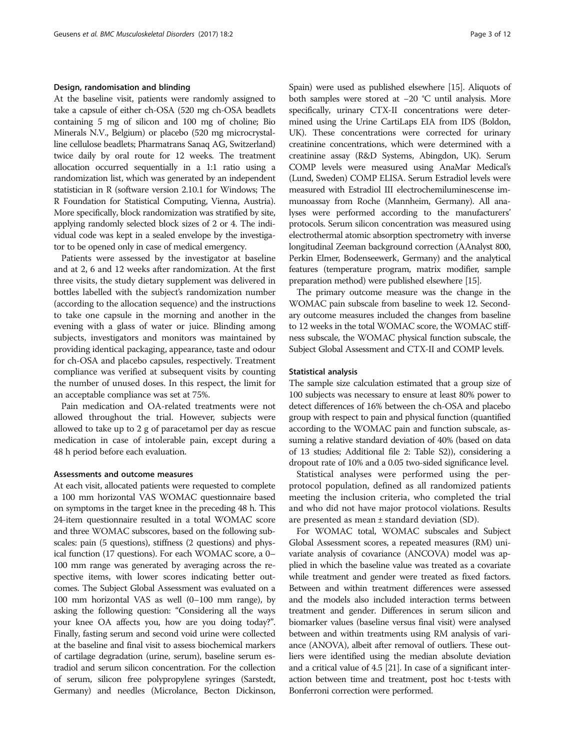## Design, randomisation and blinding

At the baseline visit, patients were randomly assigned to take a capsule of either ch-OSA (520 mg ch-OSA beadlets containing 5 mg of silicon and 100 mg of choline; Bio Minerals N.V., Belgium) or placebo (520 mg microcrystalline cellulose beadlets; Pharmatrans Sanaq AG, Switzerland) twice daily by oral route for 12 weeks. The treatment allocation occurred sequentially in a 1:1 ratio using a randomization list, which was generated by an independent statistician in R (software version 2.10.1 for Windows; The R Foundation for Statistical Computing, Vienna, Austria). More specifically, block randomization was stratified by site, applying randomly selected block sizes of 2 or 4. The individual code was kept in a sealed envelope by the investigator to be opened only in case of medical emergency.

Patients were assessed by the investigator at baseline and at 2, 6 and 12 weeks after randomization. At the first three visits, the study dietary supplement was delivered in bottles labelled with the subject's randomization number (according to the allocation sequence) and the instructions to take one capsule in the morning and another in the evening with a glass of water or juice. Blinding among subjects, investigators and monitors was maintained by providing identical packaging, appearance, taste and odour for ch-OSA and placebo capsules, respectively. Treatment compliance was verified at subsequent visits by counting the number of unused doses. In this respect, the limit for an acceptable compliance was set at 75%.

Pain medication and OA-related treatments were not allowed throughout the trial. However, subjects were allowed to take up to 2 g of paracetamol per day as rescue medication in case of intolerable pain, except during a 48 h period before each evaluation.

## Assessments and outcome measures

At each visit, allocated patients were requested to complete a 100 mm horizontal VAS WOMAC questionnaire based on symptoms in the target knee in the preceding 48 h. This 24-item questionnaire resulted in a total WOMAC score and three WOMAC subscores, based on the following subscales: pain (5 questions), stiffness (2 questions) and physical function (17 questions). For each WOMAC score, a 0– 100 mm range was generated by averaging across the respective items, with lower scores indicating better outcomes. The Subject Global Assessment was evaluated on a 100 mm horizontal VAS as well (0–100 mm range), by asking the following question: "Considering all the ways your knee OA affects you, how are you doing today?". Finally, fasting serum and second void urine were collected at the baseline and final visit to assess biochemical markers of cartilage degradation (urine, serum), baseline serum estradiol and serum silicon concentration. For the collection of serum, silicon free polypropylene syringes (Sarstedt, Germany) and needles (Microlance, Becton Dickinson,

Spain) were used as published elsewhere [[15\]](#page-10-0). Aliquots of both samples were stored at −20 °C until analysis. More specifically, urinary CTX-II concentrations were determined using the Urine CartiLaps EIA from IDS (Boldon, UK). These concentrations were corrected for urinary creatinine concentrations, which were determined with a creatinine assay (R&D Systems, Abingdon, UK). Serum COMP levels were measured using AnaMar Medical's (Lund, Sweden) COMP ELISA. Serum Estradiol levels were measured with Estradiol III electrochemiluminescense immunoassay from Roche (Mannheim, Germany). All analyses were performed according to the manufacturers' protocols. Serum silicon concentration was measured using electrothermal atomic absorption spectrometry with inverse longitudinal Zeeman background correction (AAnalyst 800, Perkin Elmer, Bodenseewerk, Germany) and the analytical features (temperature program, matrix modifier, sample preparation method) were published elsewhere [\[15\]](#page-10-0).

The primary outcome measure was the change in the WOMAC pain subscale from baseline to week 12. Secondary outcome measures included the changes from baseline to 12 weeks in the total WOMAC score, the WOMAC stiffness subscale, the WOMAC physical function subscale, the Subject Global Assessment and CTX-II and COMP levels.

## Statistical analysis

The sample size calculation estimated that a group size of 100 subjects was necessary to ensure at least 80% power to detect differences of 16% between the ch-OSA and placebo group with respect to pain and physical function (quantified according to the WOMAC pain and function subscale, assuming a relative standard deviation of 40% (based on data of 13 studies; Additional file [2:](#page-9-0) Table S2)), considering a dropout rate of 10% and a 0.05 two-sided significance level.

Statistical analyses were performed using the perprotocol population, defined as all randomized patients meeting the inclusion criteria, who completed the trial and who did not have major protocol violations. Results are presented as mean ± standard deviation (SD).

For WOMAC total, WOMAC subscales and Subject Global Assessment scores, a repeated measures (RM) univariate analysis of covariance (ANCOVA) model was applied in which the baseline value was treated as a covariate while treatment and gender were treated as fixed factors. Between and within treatment differences were assessed and the models also included interaction terms between treatment and gender. Differences in serum silicon and biomarker values (baseline versus final visit) were analysed between and within treatments using RM analysis of variance (ANOVA), albeit after removal of outliers. These outliers were identified using the median absolute deviation and a critical value of 4.5 [\[21](#page-10-0)]. In case of a significant interaction between time and treatment, post hoc t-tests with Bonferroni correction were performed.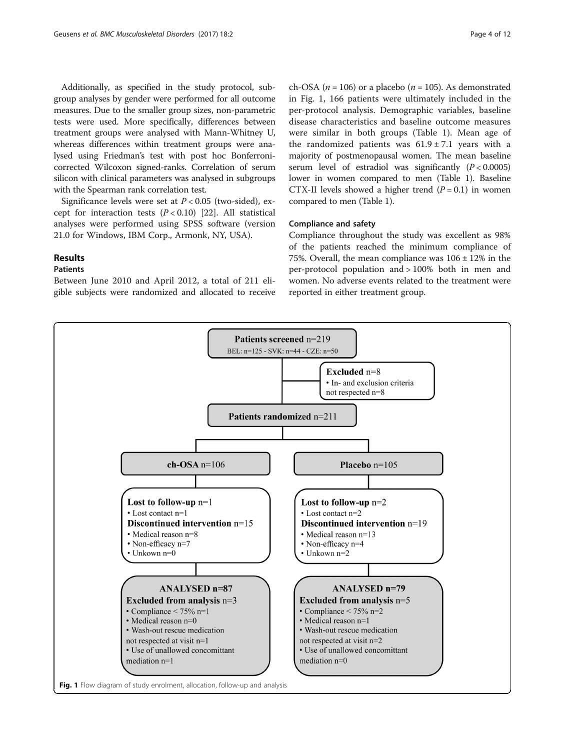Additionally, as specified in the study protocol, subgroup analyses by gender were performed for all outcome measures. Due to the smaller group sizes, non-parametric tests were used. More specifically, differences between treatment groups were analysed with Mann-Whitney U, whereas differences within treatment groups were analysed using Friedman's test with post hoc Bonferronicorrected Wilcoxon signed-ranks. Correlation of serum silicon with clinical parameters was analysed in subgroups with the Spearman rank correlation test.

Significance levels were set at  $P < 0.05$  (two-sided), except for interaction tests  $(P < 0.10)$  [\[22\]](#page-10-0). All statistical analyses were performed using SPSS software (version 21.0 for Windows, IBM Corp., Armonk, NY, USA).

# Results

# Patients

Between June 2010 and April 2012, a total of 211 eligible subjects were randomized and allocated to receive ch-OSA ( $n = 106$ ) or a placebo ( $n = 105$ ). As demonstrated in Fig. 1, 166 patients were ultimately included in the per-protocol analysis. Demographic variables, baseline disease characteristics and baseline outcome measures were similar in both groups (Table [1](#page-4-0)). Mean age of the randomized patients was  $61.9 \pm 7.1$  years with a majority of postmenopausal women. The mean baseline serum level of estradiol was significantly  $(P < 0.0005)$ lower in women compared to men (Table [1](#page-4-0)). Baseline CTX-II levels showed a higher trend  $(P = 0.1)$  in women compared to men (Table [1\)](#page-4-0).

# Compliance and safety

Compliance throughout the study was excellent as 98% of the patients reached the minimum compliance of 75%. Overall, the mean compliance was  $106 \pm 12\%$  in the per-protocol population and > 100% both in men and women. No adverse events related to the treatment were reported in either treatment group.



Fig. 1 Flow diagram of study enrolment, allocation, follow-up and analysis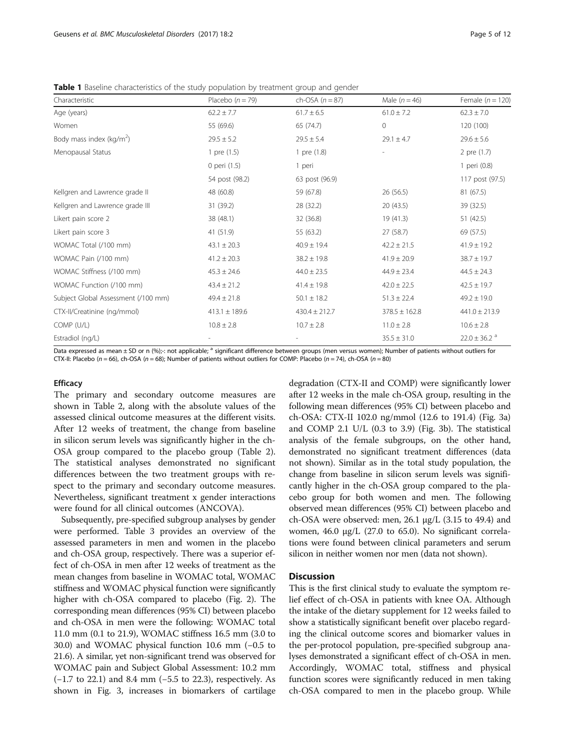<span id="page-4-0"></span>**Table 1** Baseline characteristics of the study population by treatment group and gender

| Characteristic                      | Placebo $(n = 79)$ | ch-OSA $(n = 87)$ | Male $(n = 46)$   | Female $(n = 120)$           |
|-------------------------------------|--------------------|-------------------|-------------------|------------------------------|
| Age (years)                         | $62.2 \pm 7.7$     | $61.7 \pm 6.5$    | $61.0 \pm 7.2$    | $62.3 \pm 7.0$               |
| Women                               | 55 (69.6)          | 65 (74.7)         | $\circ$           | 120 (100)                    |
| Body mass index ( $kg/m2$ )         | $29.5 \pm 5.2$     | $29.5 \pm 5.4$    | $29.1 \pm 4.7$    | $29.6 \pm 5.6$               |
| Menopausal Status                   | 1 pre (1.5)        | 1 pre (1.8)       |                   | 2 pre (1.7)                  |
|                                     | 0 peri (1.5)       | 1 peri            |                   | 1 peri (0.8)                 |
|                                     | 54 post (98.2)     | 63 post (96.9)    |                   | 117 post (97.5)              |
| Kellgren and Lawrence grade II      | 48 (60.8)          | 59 (67.8)         | 26 (56.5)         | 81 (67.5)                    |
| Kellgren and Lawrence grade III     | 31 (39.2)          | 28 (32.2)         | 20(43.5)          | 39 (32.5)                    |
| Likert pain score 2                 | 38 (48.1)          | 32 (36.8)         | 19(41.3)          | 51 (42.5)                    |
| Likert pain score 3                 | 41 (51.9)          | 55 (63.2)         | 27 (58.7)         | 69 (57.5)                    |
| WOMAC Total (/100 mm)               | $43.1 \pm 20.3$    | $40.9 \pm 19.4$   | $42.2 \pm 21.5$   | $41.9 \pm 19.2$              |
| WOMAC Pain (/100 mm)                | $41.2 \pm 20.3$    | $38.2 \pm 19.8$   | $41.9 \pm 20.9$   | $38.7 \pm 19.7$              |
| WOMAC Stiffness (/100 mm)           | $45.3 \pm 24.6$    | $44.0 \pm 23.5$   | $44.9 \pm 23.4$   | $44.5 \pm 24.3$              |
| WOMAC Function (/100 mm)            | $43.4 \pm 21.2$    | $41.4 \pm 19.8$   | $42.0 \pm 22.5$   | $42.5 \pm 19.7$              |
| Subject Global Assessment (/100 mm) | $49.4 \pm 21.8$    | $50.1 \pm 18.2$   | $51.3 \pm 22.4$   | $49.2 \pm 19.0$              |
| CTX-II/Creatinine (ng/mmol)         | $413.1 \pm 189.6$  | $430.4 \pm 212.7$ | $378.5 \pm 162.8$ | $441.0 \pm 213.9$            |
| COMP (U/L)                          | $10.8 \pm 2.8$     | $10.7 \pm 2.8$    | $11.0 \pm 2.8$    | $10.6 \pm 2.8$               |
| Estradiol (ng/L)                    |                    |                   | $35.5 \pm 31.0$   | $22.0 \pm 36.2$ <sup>a</sup> |

Data expressed as mean  $\pm$  SD or n (%);-: not applicable;  $^a$  significant difference between groups (men versus women); Number of patients without outliers for CTX-II: Placebo ( $n = 66$ ), ch-OSA ( $n = 68$ ); Number of patients without outliers for COMP: Placebo ( $n = 74$ ), ch-OSA ( $n = 80$ )

# **Efficacy**

The primary and secondary outcome measures are shown in Table [2](#page-5-0), along with the absolute values of the assessed clinical outcome measures at the different visits. After 12 weeks of treatment, the change from baseline in silicon serum levels was significantly higher in the ch-OSA group compared to the placebo group (Table [2](#page-5-0)). The statistical analyses demonstrated no significant differences between the two treatment groups with respect to the primary and secondary outcome measures. Nevertheless, significant treatment x gender interactions were found for all clinical outcomes (ANCOVA).

Subsequently, pre-specified subgroup analyses by gender were performed. Table [3](#page-6-0) provides an overview of the assessed parameters in men and women in the placebo and ch-OSA group, respectively. There was a superior effect of ch-OSA in men after 12 weeks of treatment as the mean changes from baseline in WOMAC total, WOMAC stiffness and WOMAC physical function were significantly higher with ch-OSA compared to placebo (Fig. [2\)](#page-7-0). The corresponding mean differences (95% CI) between placebo and ch-OSA in men were the following: WOMAC total 11.0 mm (0.1 to 21.9), WOMAC stiffness 16.5 mm (3.0 to 30.0) and WOMAC physical function 10.6 mm (−0.5 to 21.6). A similar, yet non-significant trend was observed for WOMAC pain and Subject Global Assessment: 10.2 mm (−1.7 to 22.1) and 8.4 mm (−5.5 to 22.3), respectively. As shown in Fig. [3,](#page-8-0) increases in biomarkers of cartilage degradation (CTX-II and COMP) were significantly lower after 12 weeks in the male ch-OSA group, resulting in the following mean differences (95% CI) between placebo and ch-OSA: CTX-II 102.0 ng/mmol (12.6 to 191.4) (Fig. [3a](#page-8-0)) and COMP 2.1 U/L (0.3 to 3.9) (Fig. [3b\)](#page-8-0). The statistical analysis of the female subgroups, on the other hand, demonstrated no significant treatment differences (data not shown). Similar as in the total study population, the change from baseline in silicon serum levels was significantly higher in the ch-OSA group compared to the placebo group for both women and men. The following observed mean differences (95% CI) between placebo and ch-OSA were observed: men, 26.1 μg/L (3.15 to 49.4) and women, 46.0 μg/L (27.0 to 65.0). No significant correlations were found between clinical parameters and serum silicon in neither women nor men (data not shown).

# **Discussion**

This is the first clinical study to evaluate the symptom relief effect of ch-OSA in patients with knee OA. Although the intake of the dietary supplement for 12 weeks failed to show a statistically significant benefit over placebo regarding the clinical outcome scores and biomarker values in the per-protocol population, pre-specified subgroup analyses demonstrated a significant effect of ch-OSA in men. Accordingly, WOMAC total, stiffness and physical function scores were significantly reduced in men taking ch-OSA compared to men in the placebo group. While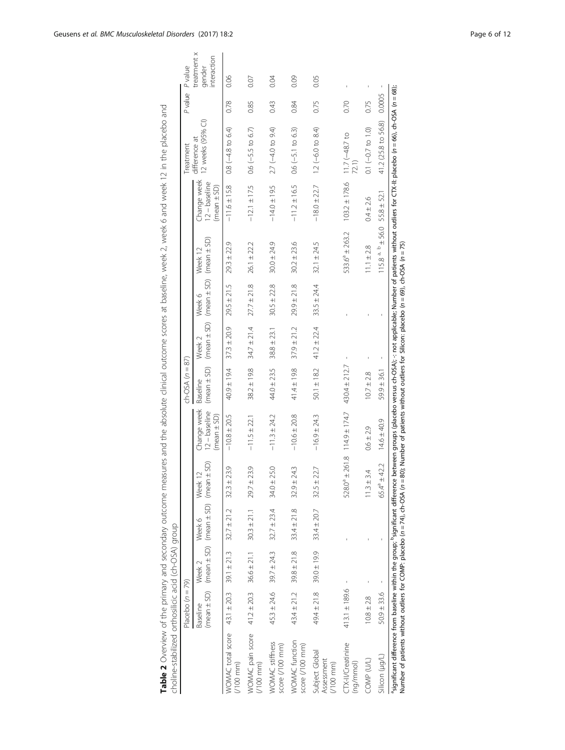<span id="page-5-0"></span>

|                                                    | Placebo $(n = 79)$          |                                 |                                                                           |                                             |                                                   | $ch-OSA (n = 87)$ |                   |                                                           |                                      |                                               | Treatment                          |        | Pvalue Pvalue                        |
|----------------------------------------------------|-----------------------------|---------------------------------|---------------------------------------------------------------------------|---------------------------------------------|---------------------------------------------------|-------------------|-------------------|-----------------------------------------------------------|--------------------------------------|-----------------------------------------------|------------------------------------|--------|--------------------------------------|
|                                                    | Baseline                    | Week <sub>2</sub>               | (mean $\pm$ SD) (mean $\pm$ SD) (mean $\pm$ SD) (mean $\pm$ SD)<br>Week 6 | Week                                        | Change week<br>$12 - baseline$<br>$(mean \pm SD)$ | Baseline          | Week <sub>2</sub> | (mean ± SD) (mean ± SD) (mean ± SD) (mean ± SD)<br>Week 6 | Week 12                              | Change week<br>$12 - baseline$<br>(mean ± SD) | 12 weeks (95% CI)<br>difference at |        | treatment x<br>interaction<br>gender |
| WOMAC total score<br>$(100 \text{ mm})$            | $43.1 \pm 20.3$             | $39.1 \pm 21.3$                 | $32.7 \pm 21.2$                                                           | $32.3 \pm 23.9$                             | $-10.8 \pm 20.5$                                  | $40.9 \pm 19.4$   | $37.3 \pm 20.9$   | $29.5 \pm 21.5$                                           | $29.3 \pm 22.9$                      | $-11.6 \pm 15.8$                              | $0.8 (-4.8 to 6.4)$                | 0.78   | 80.06                                |
| WOMAC pain score<br>$(100 \text{ mm})$             | $41.2 \pm 20.3$             | $36.6 \pm 21.1$                 | $30.3 \pm 21.1$                                                           | $29.7 \pm 23.9$                             | $-11.5 \pm 22.1$                                  | $38.2 \pm 19.8$   | $34.7 \pm 21.4$   | $27.7 \pm 21.8$                                           | $26.1 \pm 22.2$                      | $-12.1 \pm 17.5$                              | $0.6$ ( $-5.5$ to $6.7$ )          | 0.85   | 0.07                                 |
| WOMAC stiffness<br>score (/100 mm)                 |                             | $45.3 \pm 24.6$ 39.7 $\pm 24.3$ | $32.7 \pm 23.4$                                                           | $34.0 \pm 25.0$                             | $-11.3 \pm 24.2$                                  | $44.0 \pm 23.5$   | $38.8 \pm 23.1$   | $30.5 \pm 22.8$                                           | $30.0 \pm 24.9$                      | $-14.0 \pm 19.5$                              | 2.7 (-4.0 to 9.4)                  | 0.43   | 0.04                                 |
| WOMAC function<br>score (/100 mm)                  | $43.4 \pm 21.2$             | $39.8 \pm 21.8$                 | $33.4 \pm 21.8$                                                           | $32.9 \pm 24.3$                             | $-10.6 \pm 20.8$                                  | $41.4 \pm 19.8$   | $37.9 \pm 21.2$   | $29.9 \pm 21.8$                                           | $30.2 \pm 23.6$                      | $-11.2 \pm 16.5$                              | $0.6$ ( $-5.1$ to $6.3$ )          | 0.84   | 0.09                                 |
| Subject Global<br>Assessment<br>$(100 \text{ mm})$ | $49.4 \pm 21.8$ 39.0 ± 19.9 |                                 | $33.4 \pm 20.7$                                                           | $32.5 \pm 22.7$                             | $-16.9 \pm 24.3$                                  | $50.1 \pm 18.2$   | $41.2 \pm 22.4$   | $33.5 \pm 24.4$                                           | $32.1 \pm 24.5$                      | $-18.0 \pm 22.7$                              | $12 (-6.0 to 8.4)$                 | 0.75   | 0.05                                 |
| CTX-II/Creatinine<br>(ng/mmol)                     | $413.1 \pm 189.6$           |                                 |                                                                           | $528.0^{\circ} \pm 261.8$ 114.9 $\pm$ 174.7 |                                                   | $430.4 \pm 212.7$ |                   |                                                           | $533.6^a \pm 263.2$                  | $103.2 \pm 178.6$                             | $11.7(-48.7)$ to                   | 0.70   |                                      |
| COMP (U/L)                                         | $10.8 \pm 2.8$              |                                 |                                                                           | 4<br>$11.3 \pm 3$                           | $0.6 \pm 2.9$                                     | $10.7 \pm 2.8$    |                   |                                                           | $11.1 \pm 2.8$                       | $0.4 \pm 2.6$                                 | $0.1 (-0.7 to 1.0)$                | 0.75   |                                      |
| Silicon (µg/L)                                     | $50.9 \pm 33.6$             |                                 |                                                                           | $65.4^a \pm 42.2$                           | $14.6 \pm 40.9$                                   | $59.9 \pm 36.1$   | t                 |                                                           | $115.8^{a.}$ $+56.0$ $55.8 \pm 52.1$ |                                               | 41.2 (25.8 to 56.8)                | 0.0005 |                                      |

Table 2 Overview of the primary and secondary outcome measures and the absolute clinical outcome scores at baseline, week 2, week 6 and week 12 in the placebo and Table 2 Overview of the primary and secondary outcome measures and the absolute clinical outcome scores at baseline, week 2, week 6 and week 12 in the placebo and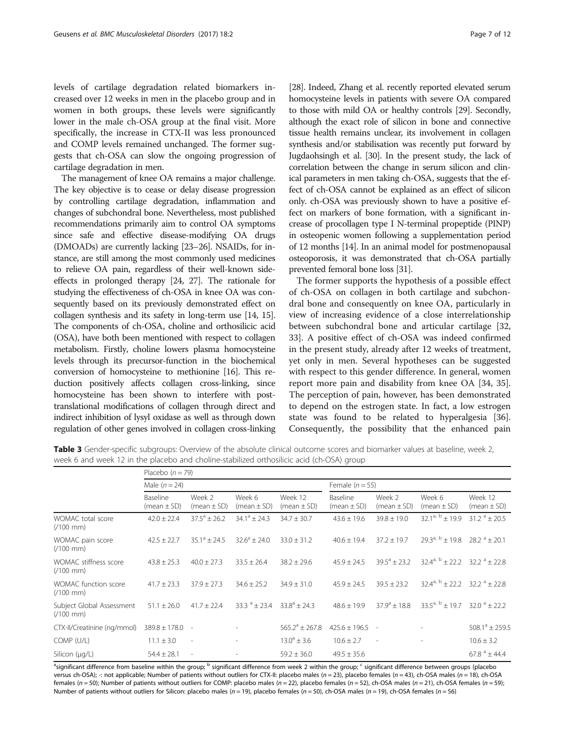<span id="page-6-0"></span>levels of cartilage degradation related biomarkers increased over 12 weeks in men in the placebo group and in women in both groups, these levels were significantly lower in the male ch-OSA group at the final visit. More specifically, the increase in CTX-II was less pronounced and COMP levels remained unchanged. The former suggests that ch-OSA can slow the ongoing progression of cartilage degradation in men.

The management of knee OA remains a major challenge. The key objective is to cease or delay disease progression by controlling cartilage degradation, inflammation and changes of subchondral bone. Nevertheless, most published recommendations primarily aim to control OA symptoms since safe and effective disease-modifying OA drugs (DMOADs) are currently lacking [\[23](#page-10-0)–[26\]](#page-10-0). NSAIDs, for instance, are still among the most commonly used medicines to relieve OA pain, regardless of their well-known sideeffects in prolonged therapy [\[24, 27\]](#page-10-0). The rationale for studying the effectiveness of ch-OSA in knee OA was consequently based on its previously demonstrated effect on collagen synthesis and its safety in long-term use [\[14](#page-10-0), [15](#page-10-0)]. The components of ch-OSA, choline and orthosilicic acid (OSA), have both been mentioned with respect to collagen metabolism. Firstly, choline lowers plasma homocysteine levels through its precursor-function in the biochemical conversion of homocysteine to methionine [[16](#page-10-0)]. This reduction positively affects collagen cross-linking, since homocysteine has been shown to interfere with posttranslational modifications of collagen through direct and indirect inhibition of lysyl oxidase as well as through down regulation of other genes involved in collagen cross-linking

[[28](#page-10-0)]. Indeed, Zhang et al. recently reported elevated serum homocysteine levels in patients with severe OA compared to those with mild OA or healthy controls [\[29\]](#page-10-0). Secondly, although the exact role of silicon in bone and connective tissue health remains unclear, its involvement in collagen synthesis and/or stabilisation was recently put forward by Jugdaohsingh et al. [\[30\]](#page-10-0). In the present study, the lack of correlation between the change in serum silicon and clinical parameters in men taking ch-OSA, suggests that the effect of ch-OSA cannot be explained as an effect of silicon only. ch-OSA was previously shown to have a positive effect on markers of bone formation, with a significant increase of procollagen type I N-terminal propeptide (PINP) in osteopenic women following a supplementation period of 12 months [\[14\]](#page-10-0). In an animal model for postmenopausal osteoporosis, it was demonstrated that ch-OSA partially prevented femoral bone loss [[31](#page-10-0)].

The former supports the hypothesis of a possible effect of ch-OSA on collagen in both cartilage and subchondral bone and consequently on knee OA, particularly in view of increasing evidence of a close interrelationship between subchondral bone and articular cartilage [[32](#page-10-0), [33\]](#page-10-0). A positive effect of ch-OSA was indeed confirmed in the present study, already after 12 weeks of treatment, yet only in men. Several hypotheses can be suggested with respect to this gender difference. In general, women report more pain and disability from knee OA [[34](#page-10-0), [35](#page-11-0)]. The perception of pain, however, has been demonstrated to depend on the estrogen state. In fact, a low estrogen state was found to be related to hyperalgesia [\[36](#page-11-0)]. Consequently, the possibility that the enhanced pain

Table 3 Gender-specific subgroups: Overview of the absolute clinical outcome scores and biomarker values at baseline, week 2, week 6 and week 12 in the placebo and choline-stabilized orthosilicic acid (ch-OSA) group

|                                                   | Placebo $(n = 79)$          |                           |                           |                            |                             |                           |                                            |                               |
|---------------------------------------------------|-----------------------------|---------------------------|---------------------------|----------------------------|-----------------------------|---------------------------|--------------------------------------------|-------------------------------|
|                                                   | Male $(n = 24)$             |                           |                           |                            | Female $(n = 55)$           |                           |                                            |                               |
|                                                   | Baseline<br>(mean $\pm$ SD) | Week 2<br>$(mean \pm SD)$ | Week 6<br>$(mean \pm SD)$ | Week 12<br>$(mean \pm SD)$ | Baseline<br>(mean $\pm$ SD) | Week 2<br>(mean $\pm$ SD) | Week 6<br>(mean $\pm$ SD)                  | Week 12<br>$(mean \pm SD)$    |
| WOMAC total score<br>$(100 \, \text{mm})$         | $42.0 \pm 22.4$             | $37.5^{\circ}$ ± 26.2     | $34.1^{\circ} \pm 24.3$   | $34.7 \pm 30.7$            | $43.6 \pm 19.6$             | $39.8 \pm 19.0$           | 32.1 <sup>a, b</sup> ± 19.9                | $31.2^{\circ} \pm 20.5$       |
| WOMAC pain score<br>$(100 \, \text{mm})$          | $42.5 \pm 22.7$             | $35.1^{\circ} \pm 24.5$   | $32.6^{\circ} \pm 24.0$   | $33.0 \pm 31.2$            | $40.6 \pm 19.4$             | $37.2 \pm 19.7$           | $29.3^{a, b} \pm 19.8$                     | $28.2^a + 20.1$               |
| WOMAC stiffness score<br>$(100 \, \text{mm})$     | $43.8 + 25.3$               | $40.0 + 27.3$             | $33.5 \pm 26.4$           | $38.2 + 29.6$              | $45.9 \pm 24.5$             | $39.5^a + 23.2$           | $32.4^{a, b} \pm 22.2$ $32.2^{a} \pm 22.8$ |                               |
| WOMAC function score<br>$(100 \text{ mm})$        | $41.7 \pm 23.3$             | $37.9 + 27.3$             | $34.6 \pm 25.2$           | $34.9 \pm 31.0$            | $45.9 \pm 24.5$             | $39.5 \pm 23.2$           | $32.4^{a, b} \pm 22.2$                     | $32.2^{\circ}+22.8$           |
| Subject Global Assessment<br>$(100 \, \text{mm})$ | $51.1 \pm 26.0$             | $41.7 \pm 22.4$           | $33.3^{\circ} + 23.4$     | $33.8^a + 24.3$            | $48.6 \pm 19.9$             | $37.9^a + 18.8$           | $33.5^{a, b} + 19.7$                       | $32.0^{\circ} + 22.2^{\circ}$ |
| CTX-II/Creatinine (ng/mmol)                       | $389.8 \pm 178.0$ -         |                           |                           | $565.2^{\circ} \pm 267.8$  | $425.6 \pm 196.5$           | $\sim$                    |                                            | $508.1^{\circ}$ ± 259.5       |
| COMP (U/L)                                        | $11.1 \pm 3.0$              | $\overline{\phantom{a}}$  |                           | $13.0^{\circ} \pm 3.6$     | $10.6 \pm 2.7$              | $\overline{\phantom{a}}$  | ۰                                          | $10.6 \pm 3.2$                |
| Silicon (µg/L)                                    | $54.4 \pm 28.1$             | $\sim$                    |                           | $59.2 \pm 36.0$            | $49.5 \pm 35.6$             |                           |                                            | $67.8^{\circ}$ ± 44.4         |

<sup>a</sup>significant difference from baseline within the group; <sup>b</sup> significant difference from week 2 within the group; <sup>c</sup> significant difference between groups (placebo versus ch-OSA); -: not applicable; Number of patients without outliers for CTX-II: placebo males ( $n = 23$ ), placebo females ( $n = 43$ ), ch-OSA males ( $n = 18$ ), ch-OSA females (n = 50); Number of patients without outliers for COMP: placebo males (n = 22), placebo females (n = 52), ch-OSA males (n = 21), ch-OSA females (n = 59); Number of patients without outliers for Silicon: placebo males ( $n = 19$ ), placebo females ( $n = 50$ ), ch-OSA males ( $n = 19$ ), ch-OSA females ( $n = 56$ )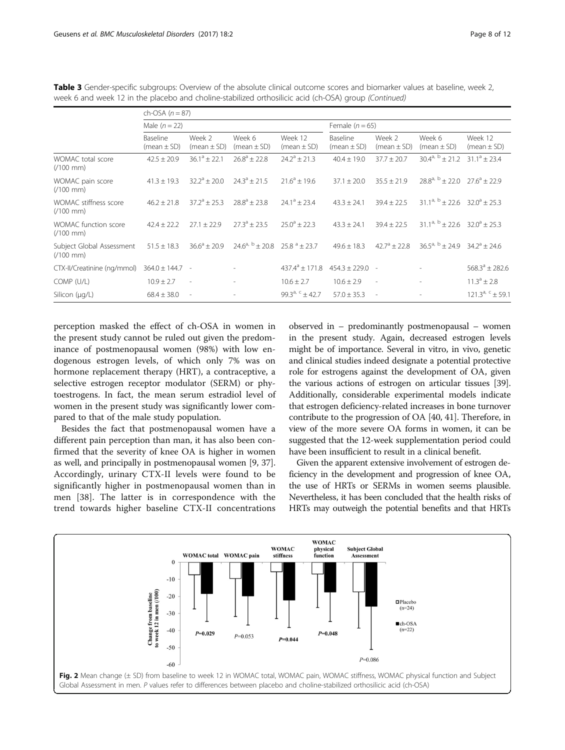|                                                 | ch-OSA $(n = 87)$           |                           |                                        |                             |                             |                           |                                            |                            |  |
|-------------------------------------------------|-----------------------------|---------------------------|----------------------------------------|-----------------------------|-----------------------------|---------------------------|--------------------------------------------|----------------------------|--|
|                                                 | Male $(n = 22)$             |                           |                                        |                             | Female $(n = 65)$           |                           |                                            |                            |  |
|                                                 | Baseline<br>(mean $\pm$ SD) | Week 2<br>(mean $\pm$ SD) | Week 6<br>$(mean \pm SD)$              | Week 12<br>$(mean \pm SD)$  | Baseline<br>(mean $\pm$ SD) | Week 2<br>$(mean \pm SD)$ | Week 6<br>(mean ± SD)                      | Week 12<br>(mean $\pm$ SD) |  |
| WOMAC total score<br>$(100 \text{ mm})$         | $42.5 \pm 20.9$             | $36.1^a \pm 22.1$         | $26.8^{\circ} \pm 22.8$                | $24.2^{\circ} \pm 21.3$     | $40.4 \pm 19.0$             | $37.7 \pm 20.7$           | $30.4^{a, b} \pm 21.2$                     | $31.1^a \pm 23.4$          |  |
| WOMAC pain score<br>$(100 \text{ mm})$          | $41.3 \pm 19.3$             | $32.2^{\circ} \pm 20.0$   | $24.3^a + 21.5$                        | $71.6^a \pm 19.6$           | $37.1 \pm 20.0$             | $35.5 \pm 21.9$           | $28.8^{a, b} \pm 22.0$ $27.6^{a} \pm 22.9$ |                            |  |
| WOMAC stiffness score<br>$(100 \text{ mm})$     | $46.2 + 21.8$               | $37.2^{\circ}$ ± 25.3     | $78.8^a + 23.8$                        | $74.1^a + 73.4$             | $43.3 \pm 24.1$             | $39.4 \pm 22.5$           | $31.1^{a, b} \pm 22.6$ $32.0^{a} \pm 25.3$ |                            |  |
| WOMAC function score<br>$(100 \text{ mm})$      | $42.4 \pm 22.2$             | $27.1 + 22.9$             | $27.3^{\circ} + 23.5$                  | $25.0^{\circ}$ ± 22.3       | $43.3 \pm 24.1$             | $39.4 + 22.5$             | $31.1^{a, b} \pm 22.6$ $32.0^{a} \pm 25.3$ |                            |  |
| Subject Global Assessment<br>$(100 \text{ mm})$ | $51.5 \pm 18.3$             | $36.6^a \pm 20.9$         | $24.6^{a, b} + 20.8$ $25.8^{a} + 23.7$ |                             | $49.6 \pm 18.3$             | $42.7^{\circ}$ ± 22.8     | $36.5^{a, b} + 24.9$ $34.2^{a} + 24.6$     |                            |  |
| CTX-II/Creatinine (ng/mmol)                     | $364.0 \pm 144.7$ -         |                           |                                        | $437.4^{\circ} \pm 171.8$   | $454.3 \pm 229.0$ -         |                           |                                            | $568.3^a \pm 282.6$        |  |
| COMP (U/L)                                      | $10.9 \pm 2.7$              | $\sim$                    |                                        | $10.6 \pm 2.7$              | $10.6 \pm 2.9$              | $\overline{\phantom{a}}$  |                                            | $11.3^{\circ} \pm 2.8$     |  |
| Silicon (µg/L)                                  | $68.4 \pm 38.0$             | $\overline{\phantom{a}}$  |                                        | 99.3 <sup>a, c</sup> + 42.7 | $57.0 \pm 35.3$             | $\sim$                    |                                            | $121.3^{a, c} \pm 59.1$    |  |

<span id="page-7-0"></span>Table 3 Gender-specific subgroups: Overview of the absolute clinical outcome scores and biomarker values at baseline, week 2, week 6 and week 12 in the placebo and choline-stabilized orthosilicic acid (ch-OSA) group (Continued)

perception masked the effect of ch-OSA in women in the present study cannot be ruled out given the predominance of postmenopausal women (98%) with low endogenous estrogen levels, of which only 7% was on hormone replacement therapy (HRT), a contraceptive, a selective estrogen receptor modulator (SERM) or phytoestrogens. In fact, the mean serum estradiol level of women in the present study was significantly lower compared to that of the male study population.

Besides the fact that postmenopausal women have a different pain perception than man, it has also been confirmed that the severity of knee OA is higher in women as well, and principally in postmenopausal women [[9,](#page-10-0) [37](#page-11-0)]. Accordingly, urinary CTX-II levels were found to be significantly higher in postmenopausal women than in men [[38](#page-11-0)]. The latter is in correspondence with the trend towards higher baseline CTX-II concentrations

observed in – predominantly postmenopausal – women in the present study. Again, decreased estrogen levels might be of importance. Several in vitro, in vivo, genetic and clinical studies indeed designate a potential protective role for estrogens against the development of OA, given the various actions of estrogen on articular tissues [[39](#page-11-0)]. Additionally, considerable experimental models indicate that estrogen deficiency-related increases in bone turnover contribute to the progression of OA [[40](#page-11-0), [41\]](#page-11-0). Therefore, in view of the more severe OA forms in women, it can be suggested that the 12-week supplementation period could have been insufficient to result in a clinical benefit.

Given the apparent extensive involvement of estrogen deficiency in the development and progression of knee OA, the use of HRTs or SERMs in women seems plausible. Nevertheless, it has been concluded that the health risks of HRTs may outweigh the potential benefits and that HRTs

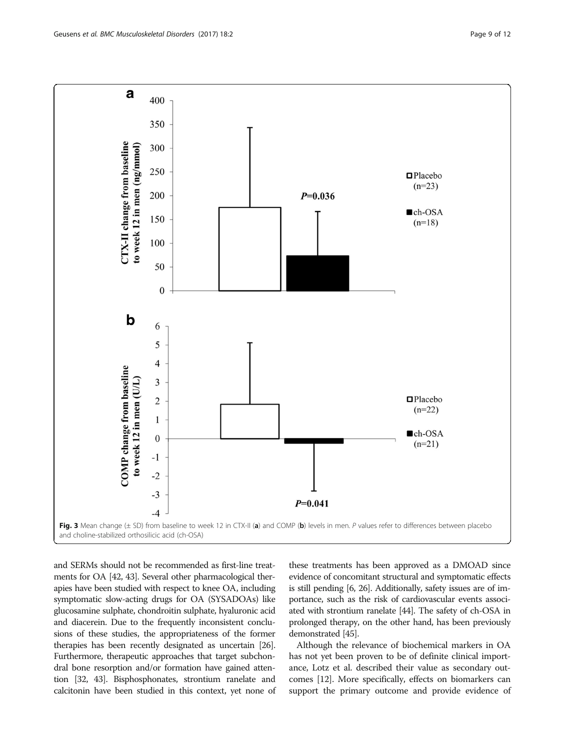<span id="page-8-0"></span>

and SERMs should not be recommended as first-line treatments for OA [\[42, 43\]](#page-11-0). Several other pharmacological therapies have been studied with respect to knee OA, including symptomatic slow-acting drugs for OA (SYSADOAs) like glucosamine sulphate, chondroitin sulphate, hyaluronic acid and diacerein. Due to the frequently inconsistent conclusions of these studies, the appropriateness of the former therapies has been recently designated as uncertain [\[26](#page-10-0)]. Furthermore, therapeutic approaches that target subchondral bone resorption and/or formation have gained attention [\[32,](#page-10-0) [43\]](#page-11-0). Bisphosphonates, strontium ranelate and calcitonin have been studied in this context, yet none of

these treatments has been approved as a DMOAD since evidence of concomitant structural and symptomatic effects is still pending [\[6](#page-10-0), [26](#page-10-0)]. Additionally, safety issues are of importance, such as the risk of cardiovascular events associated with strontium ranelate [[44](#page-11-0)]. The safety of ch-OSA in prolonged therapy, on the other hand, has been previously demonstrated [\[45\]](#page-11-0).

Although the relevance of biochemical markers in OA has not yet been proven to be of definite clinical importance, Lotz et al. described their value as secondary outcomes [\[12\]](#page-10-0). More specifically, effects on biomarkers can support the primary outcome and provide evidence of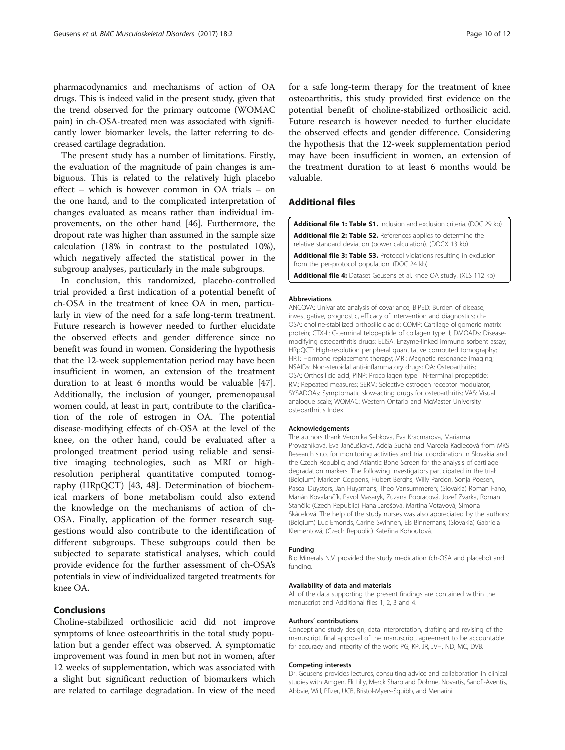<span id="page-9-0"></span>pharmacodynamics and mechanisms of action of OA drugs. This is indeed valid in the present study, given that the trend observed for the primary outcome (WOMAC pain) in ch-OSA-treated men was associated with significantly lower biomarker levels, the latter referring to decreased cartilage degradation.

The present study has a number of limitations. Firstly, the evaluation of the magnitude of pain changes is ambiguous. This is related to the relatively high placebo effect – which is however common in OA trials – on the one hand, and to the complicated interpretation of changes evaluated as means rather than individual improvements, on the other hand [[46\]](#page-11-0). Furthermore, the dropout rate was higher than assumed in the sample size calculation (18% in contrast to the postulated 10%), which negatively affected the statistical power in the subgroup analyses, particularly in the male subgroups.

In conclusion, this randomized, placebo-controlled trial provided a first indication of a potential benefit of ch-OSA in the treatment of knee OA in men, particularly in view of the need for a safe long-term treatment. Future research is however needed to further elucidate the observed effects and gender difference since no benefit was found in women. Considering the hypothesis that the 12-week supplementation period may have been insufficient in women, an extension of the treatment duration to at least 6 months would be valuable [\[47](#page-11-0)]. Additionally, the inclusion of younger, premenopausal women could, at least in part, contribute to the clarification of the role of estrogen in OA. The potential disease-modifying effects of ch-OSA at the level of the knee, on the other hand, could be evaluated after a prolonged treatment period using reliable and sensitive imaging technologies, such as MRI or highresolution peripheral quantitative computed tomography (HRpQCT) [\[43](#page-11-0), [48\]](#page-11-0). Determination of biochemical markers of bone metabolism could also extend the knowledge on the mechanisms of action of ch-OSA. Finally, application of the former research suggestions would also contribute to the identification of different subgroups. These subgroups could then be subjected to separate statistical analyses, which could provide evidence for the further assessment of ch-OSA's potentials in view of individualized targeted treatments for knee OA.

# Conclusions

Choline-stabilized orthosilicic acid did not improve symptoms of knee osteoarthritis in the total study population but a gender effect was observed. A symptomatic improvement was found in men but not in women, after 12 weeks of supplementation, which was associated with a slight but significant reduction of biomarkers which are related to cartilage degradation. In view of the need

for a safe long-term therapy for the treatment of knee osteoarthritis, this study provided first evidence on the potential benefit of choline-stabilized orthosilicic acid. Future research is however needed to further elucidate the observed effects and gender difference. Considering the hypothesis that the 12-week supplementation period may have been insufficient in women, an extension of the treatment duration to at least 6 months would be valuable.

# Additional files

[Additional file 1: Table S1.](dx.doi.org/10.1186/s12891-016-1370-7) Inclusion and exclusion criteria. (DOC 29 kb) [Additional file 2: Table S2.](dx.doi.org/10.1186/s12891-016-1370-7) References applies to determine the relative standard deviation (power calculation). (DOCX 13 kb) [Additional file 3: Table S3.](dx.doi.org/10.1186/s12891-016-1370-7) Protocol violations resulting in exclusion

from the per-protocol population. (DOC 24 kb) [Additional file 4:](dx.doi.org/10.1186/s12891-016-1370-7) Dataset Geusens et al. knee OA study. (XLS 112 kb)

#### Abbreviations

ANCOVA: Univariate analysis of covariance; BIPED: Burden of disease, investigative, prognostic, efficacy of intervention and diagnostics; ch-OSA: choline-stabilized orthosilicic acid; COMP: Cartilage oligomeric matrix protein; CTX-II: C-terminal telopeptide of collagen type II; DMOADs: Diseasemodifying osteoarthritis drugs; ELISA: Enzyme-linked immuno sorbent assay; HRpQCT: High-resolution peripheral quantitative computed tomography; HRT: Hormone replacement therapy; MRI: Magnetic resonance imaging; NSAIDs: Non-steroidal anti-inflammatory drugs; OA: Osteoarthritis; OSA: Orthosilicic acid; PINP: Procollagen type I N-terminal propeptide; RM: Repeated measures; SERM: Selective estrogen receptor modulator; SYSADOAs: Symptomatic slow-acting drugs for osteoarthritis; VAS: Visual analogue scale; WOMAC: Western Ontario and McMaster University osteoarthritis Index

### Acknowledgements

The authors thank Veronika Sebkova, Eva Kracmarova, Marianna Provazníková, Eva Jančušková, Adéla Suchá and Marcela Kadlecová from MKS Research s.r.o. for monitoring activities and trial coordination in Slovakia and the Czech Republic; and Atlantic Bone Screen for the analysis of cartilage degradation markers. The following investigators participated in the trial: (Belgium) Marleen Coppens, Hubert Berghs, Willy Pardon, Sonja Poesen, Pascal Duysters, Jan Huysmans, Theo Vansummeren; (Slovakia) Roman Fano, Marián Kovalančík, Pavol Masaryk, Zuzana Popracová, Jozef Zvarka, Roman Stančik; (Czech Republic) Hana Jarošová, Martina Votavová, Simona Skácelová. The help of the study nurses was also appreciated by the authors: (Belgium) Luc Emonds, Carine Swinnen, Els Binnemans; (Slovakia) Gabriela Klementová; (Czech Republic) Kateřina Kohoutová.

### Funding

Bio Minerals N.V. provided the study medication (ch-OSA and placebo) and funding.

#### Availability of data and materials

All of the data supporting the present findings are contained within the manuscript and Additional files 1, 2, 3 and 4.

#### Authors' contributions

Concept and study design, data interpretation, drafting and revising of the manuscript, final approval of the manuscript, agreement to be accountable for accuracy and integrity of the work: PG, KP, JR, JVH, ND, MC, DVB.

#### Competing interests

Dr. Geusens provides lectures, consulting advice and collaboration in clinical studies with Amgen, Eli Lilly, Merck Sharp and Dohme, Novartis, Sanofi-Aventis, Abbvie, Will, Pfizer, UCB, Bristol-Myers-Squibb, and Menarini.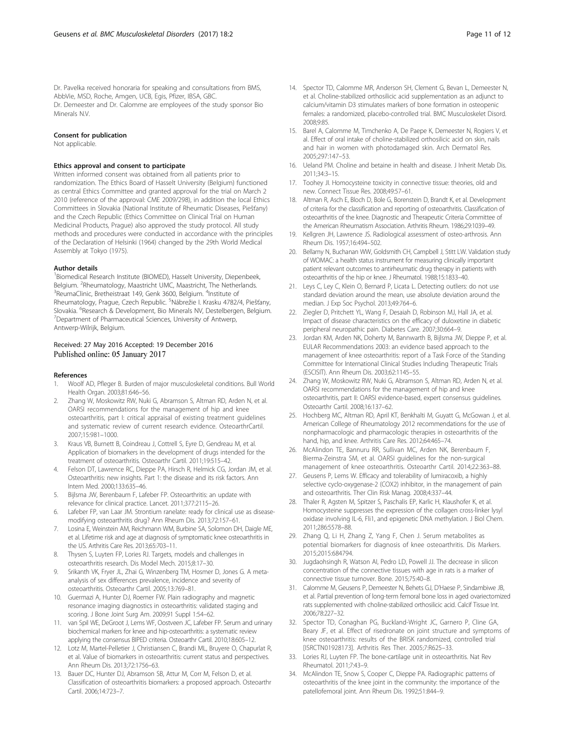<span id="page-10-0"></span>Dr. Pavelka received honoraria for speaking and consultations from BMS, AbbVie, MSD, Roche, Amgen, UCB, Egis, Pfizer, IBSA, GBC. Dr. Demeester and Dr. Calomme are employees of the study sponsor Bio Minerals N.V.

## Consent for publication

Not applicable.

#### Ethics approval and consent to participate

Written informed consent was obtained from all patients prior to randomization. The Ethics Board of Hasselt University (Belgium) functioned as central Ethics Committee and granted approval for the trial on March 2 2010 (reference of the approval: CME 2009/298), in addition the local Ethics Committees in Slovakia (National Institute of Rheumatic Diseases, Piešťany) and the Czech Republic (Ethics Committee on Clinical Trial on Human Medicinal Products, Prague) also approved the study protocol. All study methods and procedures were conducted in accordance with the principles of the Declaration of Helsinki (1964) changed by the 29th World Medical Assembly at Tokyo (1975).

### Author details

<sup>1</sup> Biomedical Research Institute (BIOMED), Hasselt University, Diepenbeek, Belgium. <sup>2</sup>Rheumatology, Maastricht UMC, Maastricht, The Netherlands.<br><sup>3</sup>PoumaClinic, Brotheistraat 140, Gonk 3600, Bolgium. <sup>4</sup>lostitute of ReumaClinic, Bretheistraat 149, Genk 3600, Belgium. <sup>4</sup>Institute of Rheumatology, Prague, Czech Republic. <sup>5</sup>Nábrežie I. Krasku 4782/4, Piešťany, Slovakia. <sup>6</sup> Research & Development, Bio Minerals NV, Destelbergen, Belgium.<br><sup>7</sup> Department of Pharmacoutical Sciences, University of Antwerp. <sup>7</sup>Department of Pharmaceutical Sciences, University of Antwerp, Antwerp-Wilrijk, Belgium.

## Received: 27 May 2016 Accepted: 19 December 2016 Published online: 05 January 2017

#### References

- 1. Woolf AD, Pfleger B. Burden of major musculoskeletal conditions. Bull World Health Organ. 2003;81:646–56.
- 2. Zhang W, Moskowitz RW, Nuki G, Abramson S, Altman RD, Arden N, et al. OARSI recommendations for the management of hip and knee osteoarthritis, part I: critical appraisal of existing treatment guidelines and systematic review of current research evidence. OsteoarthrCartil. 2007;15:981–1000.
- 3. Kraus VB, Burnett B, Coindreau J, Cottrell S, Eyre D, Gendreau M, et al. Application of biomarkers in the development of drugs intended for the treatment of osteoarthritis. Osteoarthr Cartil. 2011;19:515–42.
- 4. Felson DT, Lawrence RC, Dieppe PA, Hirsch R, Helmick CG, Jordan JM, et al. Osteoarthritis: new insights. Part 1: the disease and its risk factors. Ann Intern Med. 2000;133:635–46.
- 5. Bijlsma JW, Berenbaum F, Lafeber FP. Osteoarthritis: an update with relevance for clinical practice. Lancet. 2011;377:2115–26.
- 6. Lafeber FP, van Laar JM. Strontium ranelate: ready for clinical use as diseasemodifying osteoarthritis drug? Ann Rheum Dis. 2013;72:157–61.
- 7. Losina E, Weinstein AM, Reichmann WM, Burbine SA, Solomon DH, Daigle ME, et al. Lifetime risk and age at diagnosis of symptomatic knee osteoarthritis in the US. Arthritis Care Res. 2013;65:703–11.
- Thysen S, Luyten FP, Lories RJ. Targets, models and challenges in osteoarthritis research. Dis Model Mech. 2015;8:17–30.
- 9. Srikanth VK, Fryer JL, Zhai G, Winzenberg TM, Hosmer D, Jones G. A metaanalysis of sex differences prevalence, incidence and severity of osteoarthritis. Osteoarthr Cartil. 2005;13:769–81.
- 10. Guermazi A, Hunter DJ, Roemer FW. Plain radiography and magnetic resonance imaging diagnostics in osteoarthritis: validated staging and scoring. J Bone Joint Surg Am. 2009;91 Suppl 1:54–62.
- 11. van Spil WE, DeGroot J, Lems WF, Oostveen JC, Lafeber FP. Serum and urinary biochemical markers for knee and hip-osteoarthritis: a systematic review applying the consensus BIPED criteria. Osteoarthr Cartil. 2010;18:605–12.
- 12. Lotz M, Martel-Pelletier J, Christiansen C, Brandi ML, Bruyere O, Chapurlat R, et al. Value of biomarkers in osteoarthritis: current status and perspectives. Ann Rheum Dis. 2013;72:1756–63.
- 13. Bauer DC, Hunter DJ, Abramson SB, Attur M, Corr M, Felson D, et al. Classification of osteoarthritis biomarkers: a proposed approach. Osteoarthr Cartil. 2006;14:723–7.
- 14. Spector TD, Calomme MR, Anderson SH, Clement G, Bevan L, Demeester N, et al. Choline-stabilized orthosilicic acid supplementation as an adjunct to calcium/vitamin D3 stimulates markers of bone formation in osteopenic females: a randomized, placebo-controlled trial. BMC Musculoskelet Disord. 2008;9:85.
- 15. Barel A, Calomme M, Timchenko A, De Paepe K, Demeester N, Rogiers V, et al. Effect of oral intake of choline-stabilized orthosilicic acid on skin, nails and hair in women with photodamaged skin. Arch Dermatol Res. 2005;297:147–53.
- 16. Ueland PM. Choline and betaine in health and disease. J Inherit Metab Dis. 2011;34:3–15.
- 17. Toohey JI. Homocysteine toxicity in connective tissue: theories, old and new. Connect Tissue Res. 2008;49:57–61.
- 18. Altman R, Asch E, Bloch D, Bole G, Borenstein D, Brandt K, et al. Development of criteria for the classification and reporting of osteoarthritis. Classification of osteoarthritis of the knee. Diagnostic and Therapeutic Criteria Committee of the American Rheumatism Association. Arthritis Rheum. 1986;29:1039–49.
- 19. Kellgren JH, Lawrence JS. Radiological assessment of osteo-arthrosis. Ann Rheum Dis. 1957;16:494–502.
- 20. Bellamy N, Buchanan WW, Goldsmith CH, Campbell J, Stitt LW. Validation study of WOMAC: a health status instrument for measuring clinically important patient relevant outcomes to antirheumatic drug therapy in patients with osteoarthritis of the hip or knee. J Rheumatol. 1988;15:1833–40.
- 21. Leys C, Ley C, Klein O, Bernard P, Licata L. Detecting outliers: do not use standard deviation around the mean, use absolute deviation around the median. J Exp Soc Psychol. 2013;49:764–6.
- 22. Ziegler D, Pritchett YL, Wang F, Desaiah D, Robinson MJ, Hall JA, et al. Impact of disease characteristics on the efficacy of duloxetine in diabetic peripheral neuropathic pain. Diabetes Care. 2007;30:664–9.
- 23. Jordan KM, Arden NK, Doherty M, Bannwarth B, Bijlsma JW, Dieppe P, et al. EULAR Recommendations 2003: an evidence based approach to the management of knee osteoarthritis: report of a Task Force of the Standing Committee for International Clinical Studies Including Therapeutic Trials (ESCISIT). Ann Rheum Dis. 2003;62:1145–55.
- 24. Zhang W, Moskowitz RW, Nuki G, Abramson S, Altman RD, Arden N, et al. OARSI recommendations for the management of hip and knee osteoarthritis, part II: OARSI evidence-based, expert consensus guidelines. Osteoarthr Cartil. 2008;16:137–62.
- 25. Hochberg MC, Altman RD, April KT, Benkhalti M, Guyatt G, McGowan J, et al. American College of Rheumatology 2012 recommendations for the use of nonpharmacologic and pharmacologic therapies in osteoarthritis of the hand, hip, and knee. Arthritis Care Res. 2012;64:465–74.
- 26. McAlindon TE, Bannuru RR, Sullivan MC, Arden NK, Berenbaum F, Bierma-Zeinstra SM, et al. OARSI guidelines for the non-surgical management of knee osteoarthritis. Osteoarthr Cartil. 2014;22:363–88.
- 27. Geusens P, Lems W. Efficacy and tolerability of lumiracoxib, a highly selective cyclo-oxygenase-2 (COX2) inhibitor, in the management of pain and osteoarthritis. Ther Clin Risk Manag. 2008;4:337–44.
- 28. Thaler R, Agsten M, Spitzer S, Paschalis EP, Karlic H, Klaushofer K, et al. Homocysteine suppresses the expression of the collagen cross-linker lysyl oxidase involving IL-6, Fli1, and epigenetic DNA methylation. J Biol Chem. 2011;286:5578–88.
- 29. Zhang Q, Li H, Zhang Z, Yang F, Chen J. Serum metabolites as potential biomarkers for diagnosis of knee osteoarthritis. Dis Markers. 2015;2015:684794.
- 30. Jugdaohsingh R, Watson AI, Pedro LD, Powell JJ. The decrease in silicon concentration of the connective tissues with age in rats is a marker of connective tissue turnover. Bone. 2015;75:40–8.
- 31. Calomme M, Geusens P, Demeester N, Behets GJ, D'Haese P, Sindambiwe JB, et al. Partial prevention of long-term femoral bone loss in aged ovariectomized rats supplemented with choline-stabilized orthosilicic acid. Calcif Tissue Int. 2006;78:227–32.
- 32. Spector TD, Conaghan PG, Buckland-Wright JC, Garnero P, Cline GA, Beary JF, et al. Effect of risedronate on joint structure and symptoms of knee osteoarthritis: results of the BRISK randomized, controlled trial [ISRCTN01928173]. Arthritis Res Ther. 2005;7:R625–33.
- 33. Lories RJ, Luyten FP. The bone-cartilage unit in osteoarthritis. Nat Rev Rheumatol. 2011;7:43–9.
- 34. McAlindon TE, Snow S, Cooper C, Dieppe PA. Radiographic patterns of osteoarthritis of the knee joint in the community: the importance of the patellofemoral joint. Ann Rheum Dis. 1992;51:844–9.